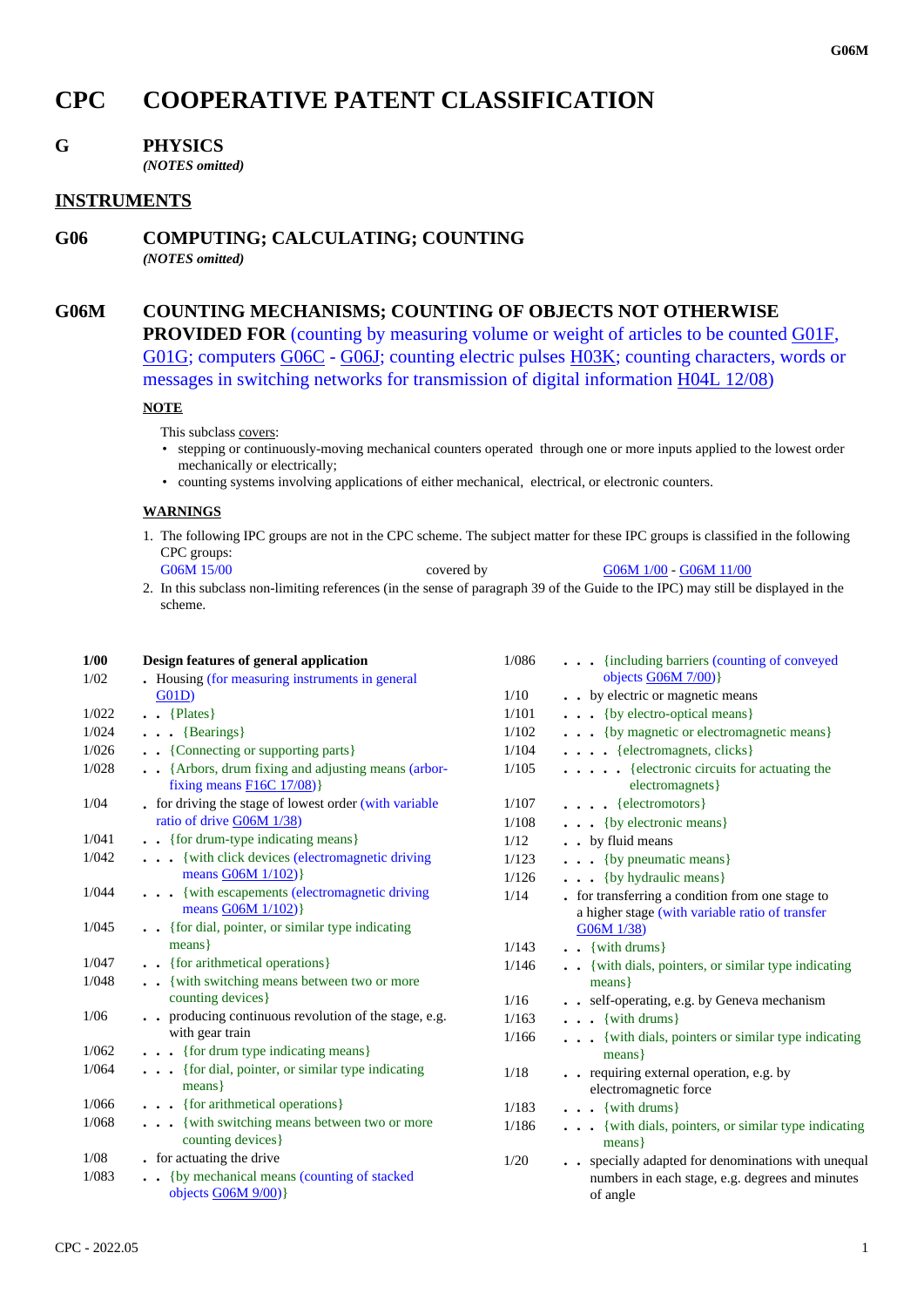# **CPC COOPERATIVE PATENT CLASSIFICATION**

## **G PHYSICS**

*(NOTES omitted)*

## **INSTRUMENTS**

**G06 COMPUTING; CALCULATING; COUNTING** *(NOTES omitted)*

# **G06M COUNTING MECHANISMS; COUNTING OF OBJECTS NOT OTHERWISE**

**PROVIDED FOR** (counting by measuring volume or weight of articles to be counted G01F, G01G; computers G06C - G06J; counting electric pulses H03K; counting characters, words or messages in switching networks for transmission of digital information H04L 12/08)

## **NOTE**

This subclass covers:

- stepping or continuously-moving mechanical counters operated through one or more inputs applied to the lowest order mechanically or electrically;
- counting systems involving applications of either mechanical, electrical, or electronic counters.

#### **WARNINGS**

1. The following IPC groups are not in the CPC scheme. The subject matter for these IPC groups is classified in the following CPC groups:

G06M 15/00 covered by G06M 1/00 - G06M 11/00

2. In this subclass non-limiting references (in the sense of paragraph 39 of the Guide to the IPC) may still be displayed in the scheme.

| 1/00  | Design features of general application                                         | 1/086 | {including barriers (counting of conveyed                                                           |
|-------|--------------------------------------------------------------------------------|-------|-----------------------------------------------------------------------------------------------------|
| 1/02  | . Housing (for measuring instruments in general                                |       | objects G06M 7/00)}                                                                                 |
|       | G(01D)                                                                         | 1/10  | . . by electric or magnetic means                                                                   |
| 1/022 | $\bullet$ $\bullet$ {Plates}                                                   | 1/101 | . {by electro-optical means}                                                                        |
| 1/024 | $\ldots$ {Bearings}                                                            | 1/102 | {by magnetic or electromagnetic means}                                                              |
| 1/026 | {Connecting or supporting parts}                                               | 1/104 | {electromagnets, clicks}                                                                            |
| 1/028 | {Arbors, drum fixing and adjusting means (arbor-<br>fixing means $F16C17/08$ ) | 1/105 | {electronic circuits for actuating the<br>electromagnets}                                           |
| 1/04  | . for driving the stage of lowest order (with variable                         | 1/107 | $\ldots$ (electromotors)                                                                            |
|       | ratio of drive G06M 1/38)                                                      | 1/108 | $\ldots$ {by electronic means}                                                                      |
| 1/041 | . {for drum-type indicating means}                                             | 1/12  | . . by fluid means                                                                                  |
| 1/042 | . {with click devices (electromagnetic driving                                 | 1/123 | $\ldots$ {by pneumatic means}                                                                       |
|       | means $G06M$ $1/102)$                                                          | 1/126 | $\ldots$ {by hydraulic means}                                                                       |
| 1/044 | {with escapements (electromagnetic driving<br>means $G06M$ $1/102)$            | 1/14  | . for transferring a condition from one stage to<br>a higher stage (with variable ratio of transfer |
| 1/045 | . {for dial, pointer, or similar type indicating                               |       | G06M 1/38)                                                                                          |
|       | means }                                                                        | 1/143 | $\bullet$ $\bullet$ {with drums}                                                                    |
| 1/047 | . {for arithmetical operations}                                                | 1/146 | {with dials, pointers, or similar type indicating                                                   |
| 1/048 | {with switching means between two or more                                      |       | $means$ }                                                                                           |
|       | counting devices}                                                              | 1/16  | . . self-operating, e.g. by Geneva mechanism                                                        |
| 1/06  | producing continuous revolution of the stage, e.g.                             | 1/163 | $\ldots$ {with drums}                                                                               |
|       | with gear train                                                                | 1/166 | { with dials, pointers or similar type indicating                                                   |
| 1/062 | {for drum type indicating means}                                               |       | $means$ }                                                                                           |
| 1/064 | {for dial, pointer, or similar type indicating                                 | 1/18  | . . requiring external operation, e.g. by                                                           |
|       | $means$ }                                                                      |       | electromagnetic force                                                                               |
| 1/066 | {for arithmetical operations}                                                  | 1/183 | $\ldots$ {with drums}                                                                               |
| 1/068 | . {with switching means between two or more<br>counting devices }              | 1/186 | . {with dials, pointers, or similar type indicating<br>$means$ }                                    |
| 1/08  | • for actuating the drive                                                      | 1/20  | specially adapted for denominations with unequal                                                    |
| 1/083 | . . {by mechanical means (counting of stacked<br>objects $G06M$ $9/00$ )}      |       | numbers in each stage, e.g. degrees and minutes<br>of angle                                         |